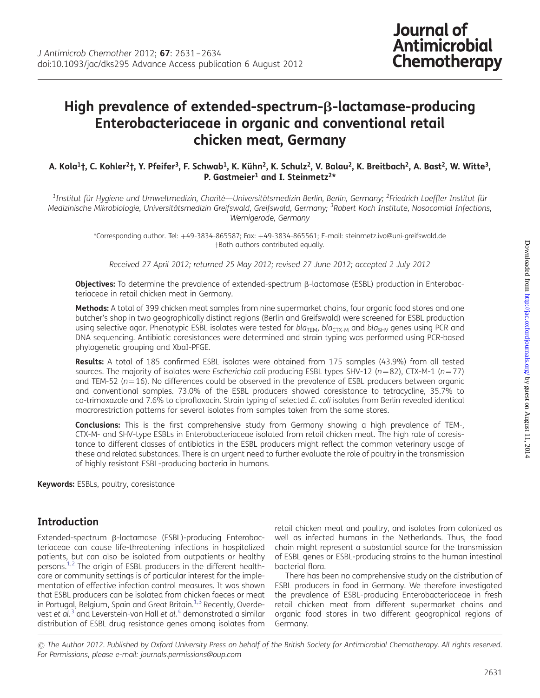# High prevalence of extended-spectrum- $\beta$ -lactamase-producing Enterobacteriaceae in organic and conventional retail chicken meat, Germany

#### A. Kola<sup>1</sup>†, C. Kohler<sup>2</sup>†, Y. Pfeifer<sup>3</sup>, F. Schwab<sup>1</sup>, K. Kühn<sup>2</sup>, K. Schulz<sup>2</sup>, V. Balau<sup>2</sup>, K. Breitbach<sup>2</sup>, A. Bast<sup>2</sup>, W. Witte<sup>3</sup>, P. Gastmeier<sup>1</sup> and I. Steinmetz<sup>2\*</sup>

 $^1$ Institut für Hygiene und Umweltmedizin, Charité—Universitätsmedizin Berlin, Berlin, Germany;  $^2$ Friedrich Loeffler Institut für Medizinische Mikrobiologie, Universitätsmedizin Greifswald, Greifswald, Germany; <sup>3</sup>Robert Koch Institute, Nosocomial Infections, Wernigerode, Germany

> \*Corresponding author. Tel: +49-3834-865587; Fax: +49-3834-865561; E-mail: steinmetz.ivo@uni-greifswald.de †Both authors contributed equally.

Received 27 April 2012; returned 25 May 2012; revised 27 June 2012; accepted 2 July 2012

**Objectives:** To determine the prevalence of extended-spectrum β-lactamase (ESBL) production in Enterobacteriaceae in retail chicken meat in Germany.

Methods: A total of 399 chicken meat samples from nine supermarket chains, four organic food stores and one butcher's shop in two geographically distinct regions (Berlin and Greifswald) were screened for ESBL production using selective agar. Phenotypic ESBL isolates were tested for  $bla_{TEM}$ ,  $bla_{TTM}$  and  $bla_{SHV}$  genes using PCR and DNA sequencing. Antibiotic coresistances were determined and strain typing was performed using PCR-based phylogenetic grouping and XbaI-PFGE.

Results: A total of 185 confirmed ESBL isolates were obtained from 175 samples (43.9%) from all tested sources. The majority of isolates were Escherichia coli producing ESBL types SHV-12 (n=82), CTX-M-1 (n=77) and TEM-52 ( $n=16$ ). No differences could be observed in the prevalence of ESBL producers between organic and conventional samples. 73.0% of the ESBL producers showed coresistance to tetracycline, 35.7% to co-trimoxazole and 7.6% to ciprofloxacin. Strain typing of selected E. coli isolates from Berlin revealed identical macrorestriction patterns for several isolates from samples taken from the same stores.

Conclusions: This is the first comprehensive study from Germany showing a high prevalence of TEM-, CTX-M- and SHV-type ESBLs in Enterobacteriaceae isolated from retail chicken meat. The high rate of coresistance to different classes of antibiotics in the ESBL producers might reflect the common veterinary usage of these and related substances. There is an urgent need to further evaluate the role of poultry in the transmission of highly resistant ESBL-producing bacteria in humans.

Keywords: ESBLs, poultry, coresistance

# Introduction

Extended-spectrum b-lactamase (ESBL)-producing Enterobacteriaceae can cause life-threatening infections in hospitalized patients, but can also be isolated from outpatients or healthy persons.<sup>[1,2](#page-3-0)</sup> The origin of ESBL producers in the different healthcare or community settings is of particular interest for the implementation of effective infection control measures. It was shown that ESBL producers can be isolated from chicken faeces or meat in Portugal, Belgium, Spain and Great Britain.<sup>[1,3](#page-3-0)</sup> Recently, Overdevest et  $aL^3$  $aL^3$  and Leverstein-van Hall et  $aL^4$  $aL^4$  demonstrated a similar distribution of ESBL drug resistance genes among isolates from

retail chicken meat and poultry, and isolates from colonized as well as infected humans in the Netherlands. Thus, the food chain might represent a substantial source for the transmission of ESBL genes or ESBL-producing strains to the human intestinal bacterial flora.

There has been no comprehensive study on the distribution of ESBL producers in food in Germany. We therefore investigated the prevalence of ESBL-producing Enterobacteriaceae in fresh retail chicken meat from different supermarket chains and organic food stores in two different geographical regions of Germany.

 $\odot$  The Author 2012. Published by Oxford University Press on behalf of the British Society for Antimicrobial Chemotherapy. All rights reserved. For Permissions, please e-mail: journals.permissions@oup.com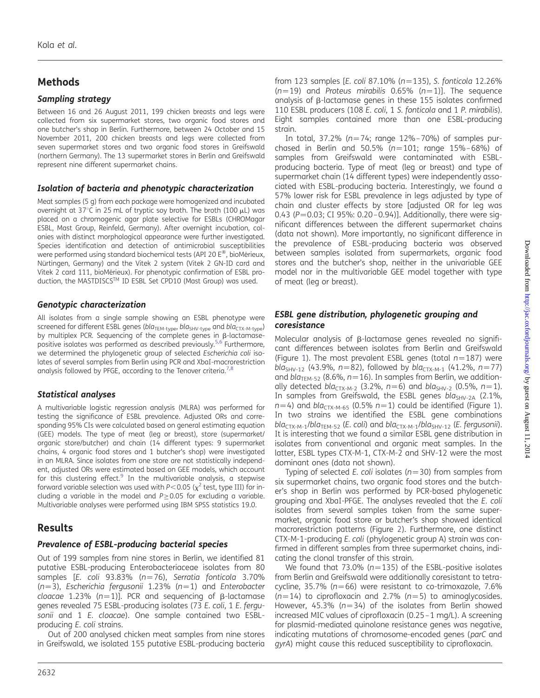# Methods

#### Sampling strategy

Between 16 and 26 August 2011, 199 chicken breasts and legs were collected from six supermarket stores, two organic food stores and one butcher's shop in Berlin. Furthermore, between 24 October and 15 November 2011, 200 chicken breasts and legs were collected from seven supermarket stores and two organic food stores in Greifswald (northern Germany). The 13 supermarket stores in Berlin and Greifswald represent nine different supermarket chains.

#### Isolation of bacteria and phenotypic characterization

Meat samples (5 g) from each package were homogenized and incubated overnight at 37°C in 25 mL of tryptic soy broth. The broth (100  $\mu$ L) was placed on a chromogenic agar plate selective for ESBLs (CHROMagar ESBL, Mast Group, Reinfeld, Germany). After overnight incubation, colonies with distinct morphological appearance were further investigated. Species identification and detection of antimicrobial susceptibilities were performed using standard biochemical tests (API 20  $E^{\circledast}$ , bioMérieux, Nürtingen, Germany) and the Vitek 2 system (Vitek 2 GN-ID card and Vitek 2 card 111, bioMérieux). For phenotypic confirmation of ESBL production, the MASTDISCS™ ID ESBL Set CPD10 (Mast Group) was used.

#### Genotypic characterization

All isolates from a single sample showing an ESBL phenotype were screened for different ESBL genes (bla<sub>TEM-type</sub>, bla<sub>SHV-type</sub> and bla<sub>CTX-M-type</sub>) by multiplex PCR. Sequencing of the complete genes in  $\beta$ -lactamase-positive isolates was performed as described previously.<sup>[5](#page-3-0),[6](#page-3-0)</sup> Furthermore, we determined the phylogenetic group of selected Escherichia coli isolates of several samples from Berlin using PCR and XbaI-macrorestriction analysis followed by PFGE, according to the Tenover criteria.<sup>[7,8](#page-3-0)</sup>

### Statistical analyses

A multivariable logistic regression analysis (MLRA) was performed for testing the significance of ESBL prevalence. Adjusted ORs and corresponding 95% CIs were calculated based on general estimating equation (GEE) models. The type of meat (leg or breast), store (supermarket/ organic store/butcher) and chain (14 different types: 9 supermarket chains, 4 organic food stores and 1 butcher's shop) were investigated in an MLRA. Since isolates from one store are not statistically independent, adjusted ORs were estimated based on GEE models, which account for this clustering effect. $9$  In the multivariable analysis, a stepwise forward variable selection was used with P < 0.05 ( $\chi^2$  test, type III) for including a variable in the model and  $P \geq 0.05$  for excluding a variable. Multivariable analyses were performed using IBM SPSS statistics 19.0.

# Results

#### Prevalence of ESBL-producing bacterial species

Out of 199 samples from nine stores in Berlin, we identified 81 putative ESBL-producing Enterobacteriaceae isolates from 80 samples [E. coli 93.83% ( $n=76$ ), Serratia fonticola 3.70% ( $n=3$ ), Escherichia fergusonii 1.23% ( $n=1$ ) and Enterobacter cloacae 1.23% ( $n=1$ )]. PCR and sequencing of  $\beta$ -lactamase genes revealed 75 ESBL-producing isolates (73 E. coli, 1 E. fergusonii and 1 E. cloacae). One sample contained two ESBLproducing E. coli strains.

Out of 200 analysed chicken meat samples from nine stores in Greifswald, we isolated 155 putative ESBL-producing bacteria

from 123 samples [E. coli 87.10% ( $n=135$ ), S. fonticola 12.26%  $(n=19)$  and Proteus mirabilis 0.65%  $(n=1)$ ]. The sequence analysis of  $\beta$ -lactamase genes in these 155 isolates confirmed 110 ESBL producers (108 E. coli, 1 S. fonticola and 1 P. mirabilis). Eight samples contained more than one ESBL-producing strain.

In total, 37.2% ( $n=74$ ; range 12%–70%) of samples purchased in Berlin and 50.5% ( $n=101$ ; range 15%–68%) of samples from Greifswald were contaminated with ESBLproducing bacteria. Type of meat (leg or breast) and type of supermarket chain (14 different types) were independently associated with ESBL-producing bacteria. Interestingly, we found a 57% lower risk for ESBL prevalence in legs adjusted by type of chain and cluster effects by store [adjusted OR for leg was 0.43 ( $P = 0.03$ ; CI 95%: 0.20-0.94)]. Additionally, there were significant differences between the different supermarket chains (data not shown). More importantly, no significant difference in the prevalence of ESBL-producing bacteria was observed between samples isolated from supermarkets, organic food stores and the butcher's shop, neither in the univariable GEE model nor in the multivariable GEE model together with type of meat (leg or breast).

#### ESBL gene distribution, phylogenetic grouping and coresistance

Molecular analysis of  $\beta$ -lactamase genes revealed no significant differences between isolates from Berlin and Greifswald (Figure [1](#page-2-0)). The most prevalent ESBL genes (total  $n=187$ ) were bla<sub>SHV-12</sub> (43.9%, n=82), followed by bla<sub>CTX-M-1</sub> (41.2%, n=77) and  $bla<sub>TEM-52</sub>$  (8.6%,  $n=16$ ). In samples from Berlin, we additionally detected bla<sub>CTX-M-2</sub> (3.2%, n=6) and bla<sub>SHV-2</sub> (0.5%, n=1). In samples from Greifswald, the ESBL genes  $bla_{SHV-2A}$  (2.1%,  $n=4$ ) and bla<sub>CTX-M-65</sub> (0.5%  $n=1$ ) could be identified (Figure [1\)](#page-2-0). In two strains we identified the ESBL gene combinations  $bla_{\text{CTX-M-1}}/bla_{\text{TEM-52}}$  (E. coli) and  $bla_{\text{CTX-M-1}}/bla_{\text{SHV-12}}$  (E. fergusonii). It is interesting that we found a similar ESBL gene distribution in isolates from conventional and organic meat samples. In the latter, ESBL types CTX-M-1, CTX-M-2 and SHV-12 were the most dominant ones (data not shown).

Typing of selected E. coli isolates ( $n=30$ ) from samples from six supermarket chains, two organic food stores and the butcher's shop in Berlin was performed by PCR-based phylogenetic grouping and XbaI-PFGE. The analyses revealed that the E. coli isolates from several samples taken from the same supermarket, organic food store or butcher's shop showed identical macrorestriction patterns (Figure [2\)](#page-2-0). Furthermore, one distinct CTX-M-1-producing E. coli (phylogenetic group A) strain was confirmed in different samples from three supermarket chains, indicating the clonal transfer of this strain.

We found that 73.0% ( $n=135$ ) of the ESBL-positive isolates from Berlin and Greifswald were additionally coresistant to tetracycline, 35.7% ( $n=66$ ) were resistant to co-trimoxazole, 7.6%  $(n=14)$  to ciprofloxacin and 2.7% ( $n=5$ ) to aminoglycosides. However, 45.3% ( $n=34$ ) of the isolates from Berlin showed increased MIC values of ciprofloxacin (0.25–1 mg/L). A screening for plasmid-mediated quinolone resistance genes was negative, indicating mutations of chromosome-encoded genes (parC and gyrA) might cause this reduced susceptibility to ciprofloxacin.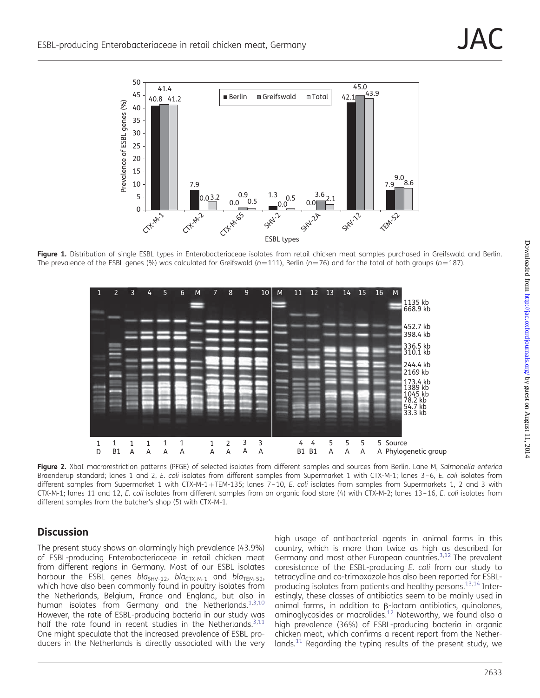<span id="page-2-0"></span>

Figure 1. Distribution of single ESBL types in Enterobacteriaceae isolates from retail chicken meat samples purchased in Greifswald and Berlin. The prevalence of the ESBL genes (%) was calculated for Greifswald (n=111), Berlin (n=76) and for the total of both groups (n=187).



Figure 2. XbaI macrorestriction patterns (PFGE) of selected isolates from different samples and sources from Berlin. Lane M, Salmonella enterica Braenderup standard; lanes 1 and 2, E. coli isolates from different samples from Supermarket 1 with CTX-M-1; lanes 3-6, E. coli isolates from different samples from Supermarket 1 with CTX-M-1+TEM-135; lanes 7-10, E. coli isolates from samples from Supermarkets 1, 2 and 3 with CTX-M-1; lanes 11 and 12, E. coli isolates from different samples from an organic food store (4) with CTX-M-2; lanes 13–16, E. coli isolates from different samples from the butcher's shop (5) with CTX-M-1.

# **Discussion**

The present study shows an alarmingly high prevalence (43.9%) of ESBL-producing Enterobacteriaceae in retail chicken meat from different regions in Germany. Most of our ESBL isolates harbour the ESBL genes bla<sub>SHV-12</sub>, bla<sub>CTX-M-1</sub> and bla<sub>TEM-52</sub>, which have also been commonly found in poultry isolates from the Netherlands, Belgium, France and England, but also in human isolates from Germany and the Netherlands.<sup>[1,3](#page-3-0),[10](#page-3-0)</sup> However, the rate of ESBL-producing bacteria in our study was half the rate found in recent studies in the Netherlands. $3,11$  $3,11$ One might speculate that the increased prevalence of ESBL producers in the Netherlands is directly associated with the very

high usage of antibacterial agents in animal farms in this country, which is more than twice as high as described for Germany and most other European countries.<sup>[3,12](#page-3-0)</sup> The prevalent coresistance of the ESBL-producing E. coli from our study to tetracycline and co-trimoxazole has also been reported for ESBL-producing isolates from patients and healthy persons.<sup>[13,14](#page-3-0)</sup> Interestingly, these classes of antibiotics seem to be mainly used in animal farms, in addition to  $\beta$ -lactam antibiotics, quinolones, aminoglycosides or macrolides.<sup>[12](#page-3-0)</sup> Noteworthy, we found also a high prevalence (36%) of ESBL-producing bacteria in organic chicken meat, which confirms a recent report from the Nether-lands.<sup>[11](#page-3-0)</sup> Regarding the typing results of the present study, we